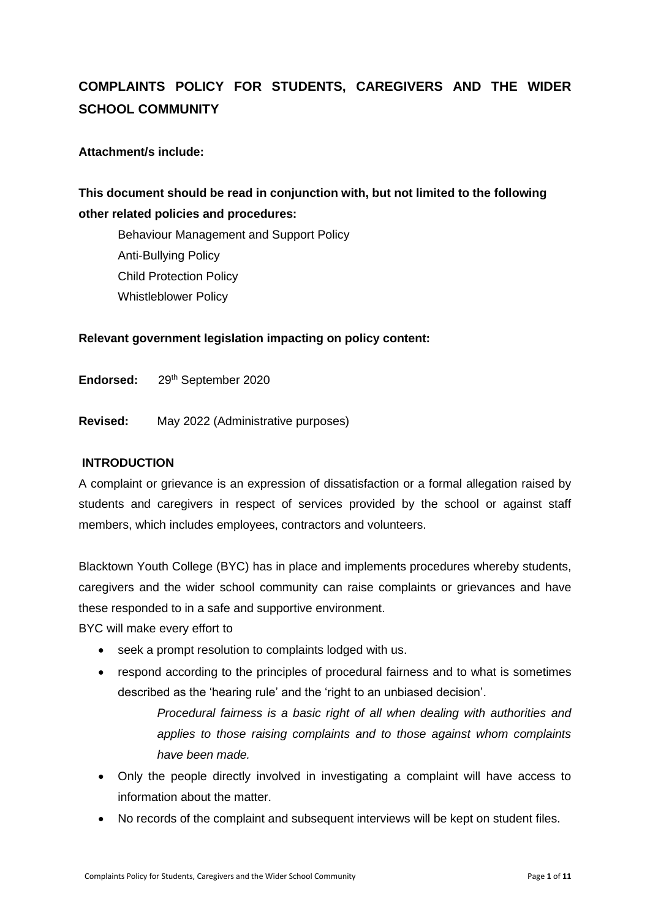# **COMPLAINTS POLICY FOR STUDENTS, CAREGIVERS AND THE WIDER SCHOOL COMMUNITY**

### **Attachment/s include:**

## **This document should be read in conjunction with, but not limited to the following other related policies and procedures:**

Behaviour Management and Support Policy Anti-Bullying Policy Child Protection Policy Whistleblower Policy

### **Relevant government legislation impacting on policy content:**

Endorsed: 29<sup>th</sup> September 2020

**Revised:** May 2022 (Administrative purposes)

#### **INTRODUCTION**

A complaint or grievance is an expression of dissatisfaction or a formal allegation raised by students and caregivers in respect of services provided by the school or against staff members, which includes employees, contractors and volunteers.

Blacktown Youth College (BYC) has in place and implements procedures whereby students, caregivers and the wider school community can raise complaints or grievances and have these responded to in a safe and supportive environment.

BYC will make every effort to

- seek a prompt resolution to complaints lodged with us.
- respond according to the principles of procedural fairness and to what is sometimes described as the 'hearing rule' and the 'right to an unbiased decision'.

*Procedural fairness is a basic right of all when dealing with authorities and applies to those raising complaints and to those against whom complaints have been made.* 

- Only the people directly involved in investigating a complaint will have access to information about the matter.
- No records of the complaint and subsequent interviews will be kept on student files.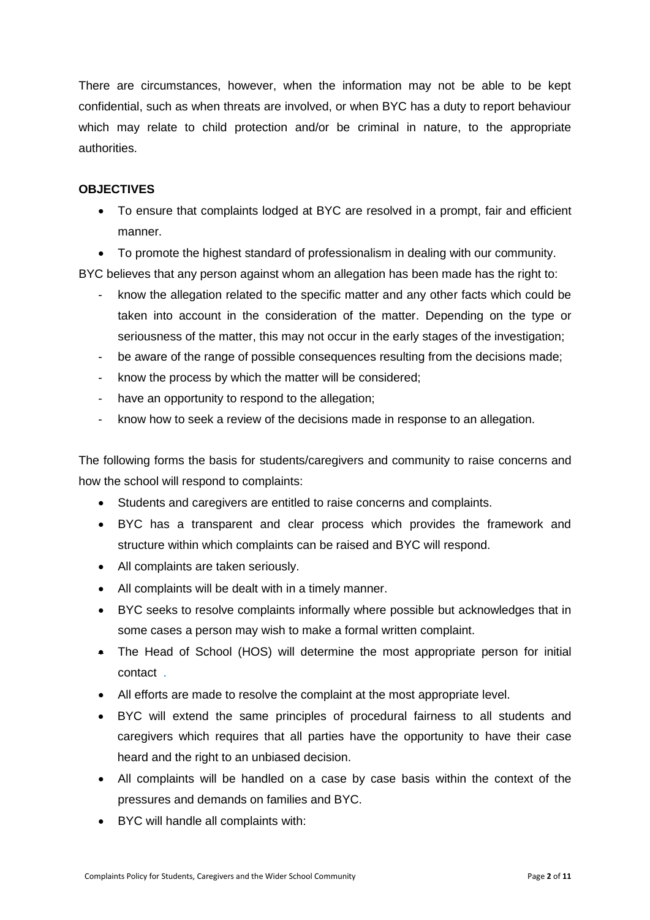There are circumstances, however, when the information may not be able to be kept confidential, such as when threats are involved, or when BYC has a duty to report behaviour which may relate to child protection and/or be criminal in nature, to the appropriate authorities.

### **OBJECTIVES**

• To ensure that complaints lodged at BYC are resolved in a prompt, fair and efficient manner.

• To promote the highest standard of professionalism in dealing with our community. BYC believes that any person against whom an allegation has been made has the right to:

- know the allegation related to the specific matter and any other facts which could be taken into account in the consideration of the matter. Depending on the type or seriousness of the matter, this may not occur in the early stages of the investigation;
- be aware of the range of possible consequences resulting from the decisions made;
- know the process by which the matter will be considered;
- have an opportunity to respond to the allegation;
- know how to seek a review of the decisions made in response to an allegation.

The following forms the basis for students/caregivers and community to raise concerns and how the school will respond to complaints:

- Students and caregivers are entitled to raise concerns and complaints.
- BYC has a transparent and clear process which provides the framework and structure within which complaints can be raised and BYC will respond.
- All complaints are taken seriously.
- All complaints will be dealt with in a timely manner.
- BYC seeks to resolve complaints informally where possible but acknowledges that in some cases a person may wish to make a formal written complaint.
- The Head of School (HOS) will determine the most appropriate person for initial contact .
- All efforts are made to resolve the complaint at the most appropriate level.
- BYC will extend the same principles of procedural fairness to all students and caregivers which requires that all parties have the opportunity to have their case heard and the right to an unbiased decision.
- All complaints will be handled on a case by case basis within the context of the pressures and demands on families and BYC.
- BYC will handle all complaints with: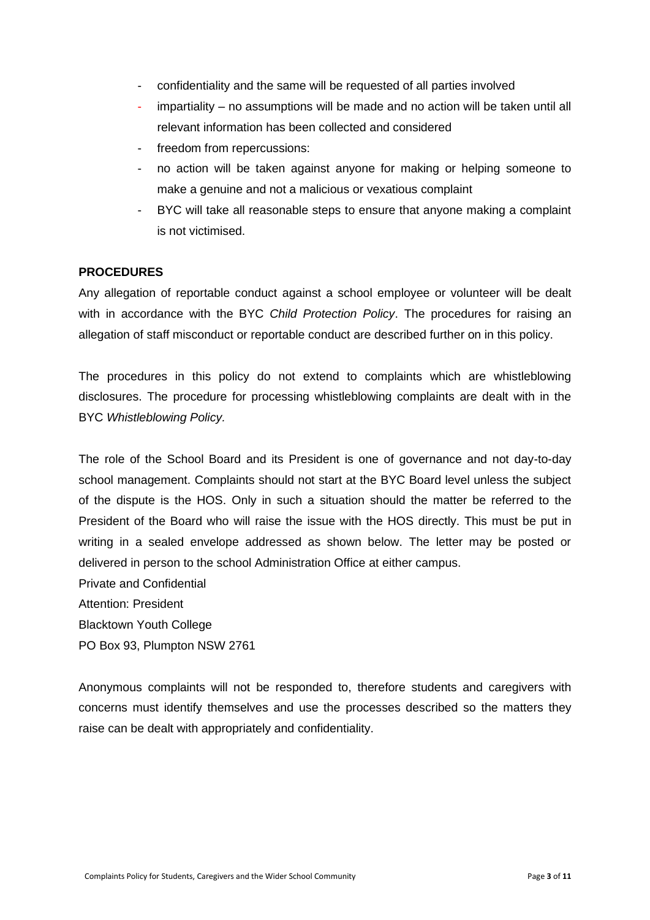- confidentiality and the same will be requested of all parties involved
- impartiality no assumptions will be made and no action will be taken until all relevant information has been collected and considered
- freedom from repercussions:
- no action will be taken against anyone for making or helping someone to make a genuine and not a malicious or vexatious complaint
- BYC will take all reasonable steps to ensure that anyone making a complaint is not victimised.

### **PROCEDURES**

Any allegation of reportable conduct against a school employee or volunteer will be dealt with in accordance with the BYC *Child Protection Policy*. The procedures for raising an allegation of staff misconduct or reportable conduct are described further on in this policy.

The procedures in this policy do not extend to complaints which are whistleblowing disclosures. The procedure for processing whistleblowing complaints are dealt with in the BYC *Whistleblowing Policy.*

The role of the School Board and its President is one of governance and not day-to-day school management. Complaints should not start at the BYC Board level unless the subject of the dispute is the HOS. Only in such a situation should the matter be referred to the President of the Board who will raise the issue with the HOS directly. This must be put in writing in a sealed envelope addressed as shown below. The letter may be posted or delivered in person to the school Administration Office at either campus.

Private and Confidential Attention: President Blacktown Youth College PO Box 93, Plumpton NSW 2761

Anonymous complaints will not be responded to, therefore students and caregivers with concerns must identify themselves and use the processes described so the matters they raise can be dealt with appropriately and confidentiality.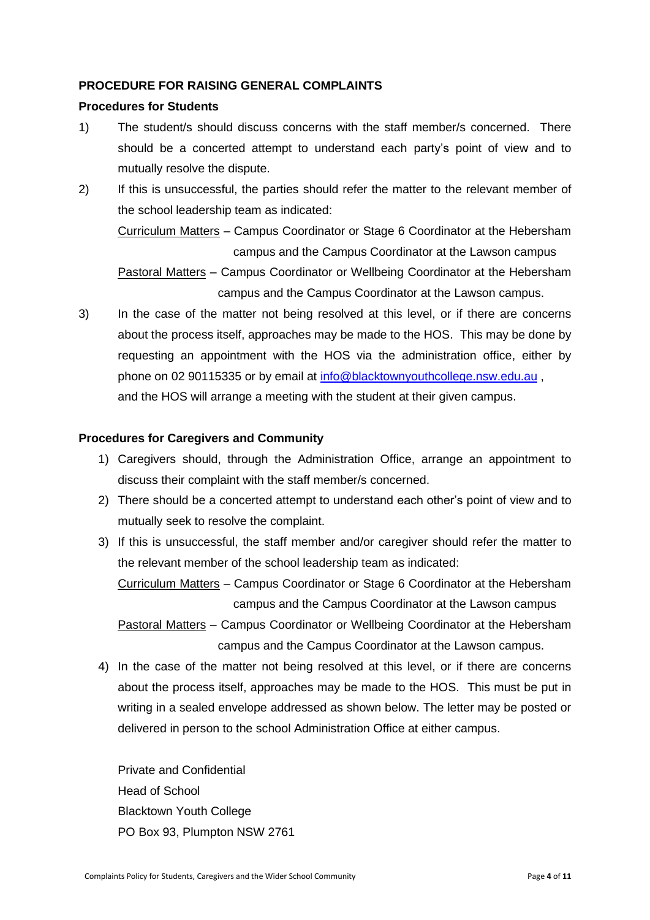### **PROCEDURE FOR RAISING GENERAL COMPLAINTS**

#### **Procedures for Students**

- 1) The student/s should discuss concerns with the staff member/s concerned. There should be a concerted attempt to understand each party's point of view and to mutually resolve the dispute.
- 2) If this is unsuccessful, the parties should refer the matter to the relevant member of the school leadership team as indicated:

Curriculum Matters – Campus Coordinator or Stage 6 Coordinator at the Hebersham campus and the Campus Coordinator at the Lawson campus

Pastoral Matters – Campus Coordinator or Wellbeing Coordinator at the Hebersham campus and the Campus Coordinator at the Lawson campus.

3) In the case of the matter not being resolved at this level, or if there are concerns about the process itself, approaches may be made to the HOS. This may be done by requesting an appointment with the HOS via the administration office, either by phone on 02 90115335 or by email at [info@blacktownyouthcollege.nsw.edu.au](mailto:info@blacktownyouthcollege.nsw.edu.au), and the HOS will arrange a meeting with the student at their given campus.

### **Procedures for Caregivers and Community**

- 1) Caregivers should, through the Administration Office, arrange an appointment to discuss their complaint with the staff member/s concerned.
- 2) There should be a concerted attempt to understand each other's point of view and to mutually seek to resolve the complaint.
- 3) If this is unsuccessful, the staff member and/or caregiver should refer the matter to the relevant member of the school leadership team as indicated:

Curriculum Matters – Campus Coordinator or Stage 6 Coordinator at the Hebersham campus and the Campus Coordinator at the Lawson campus

Pastoral Matters – Campus Coordinator or Wellbeing Coordinator at the Hebersham campus and the Campus Coordinator at the Lawson campus.

4) In the case of the matter not being resolved at this level, or if there are concerns about the process itself, approaches may be made to the HOS. This must be put in writing in a sealed envelope addressed as shown below. The letter may be posted or delivered in person to the school Administration Office at either campus.

Private and Confidential Head of School Blacktown Youth College PO Box 93, Plumpton NSW 2761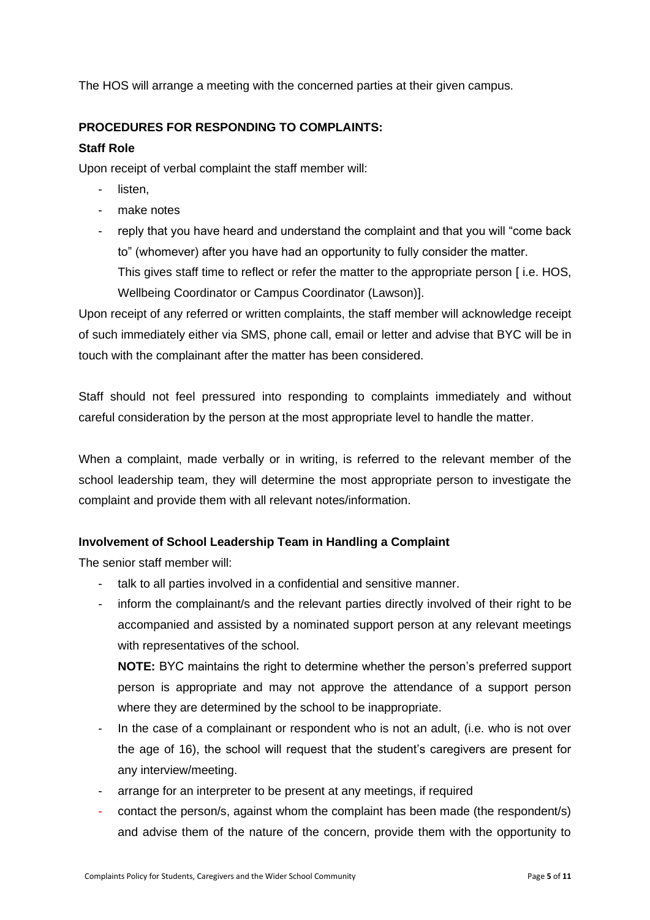The HOS will arrange a meeting with the concerned parties at their given campus.

### **PROCEDURES FOR RESPONDING TO COMPLAINTS:**

### **Staff Role**

Upon receipt of verbal complaint the staff member will:

- listen.
- make notes
- reply that you have heard and understand the complaint and that you will "come back to" (whomever) after you have had an opportunity to fully consider the matter. This gives staff time to reflect or refer the matter to the appropriate person [ i.e. HOS, Wellbeing Coordinator or Campus Coordinator (Lawson)].

Upon receipt of any referred or written complaints, the staff member will acknowledge receipt of such immediately either via SMS, phone call, email or letter and advise that BYC will be in touch with the complainant after the matter has been considered.

Staff should not feel pressured into responding to complaints immediately and without careful consideration by the person at the most appropriate level to handle the matter.

When a complaint, made verbally or in writing, is referred to the relevant member of the school leadership team, they will determine the most appropriate person to investigate the complaint and provide them with all relevant notes/information.

### **Involvement of School Leadership Team in Handling a Complaint**

The senior staff member will:

- talk to all parties involved in a confidential and sensitive manner.
- inform the complainant/s and the relevant parties directly involved of their right to be accompanied and assisted by a nominated support person at any relevant meetings with representatives of the school.

**NOTE:** BYC maintains the right to determine whether the person's preferred support person is appropriate and may not approve the attendance of a support person where they are determined by the school to be inappropriate.

- In the case of a complainant or respondent who is not an adult, (i.e. who is not over the age of 16), the school will request that the student's caregivers are present for any interview/meeting.
- arrange for an interpreter to be present at any meetings, if required
- contact the person/s, against whom the complaint has been made (the respondent/s) and advise them of the nature of the concern, provide them with the opportunity to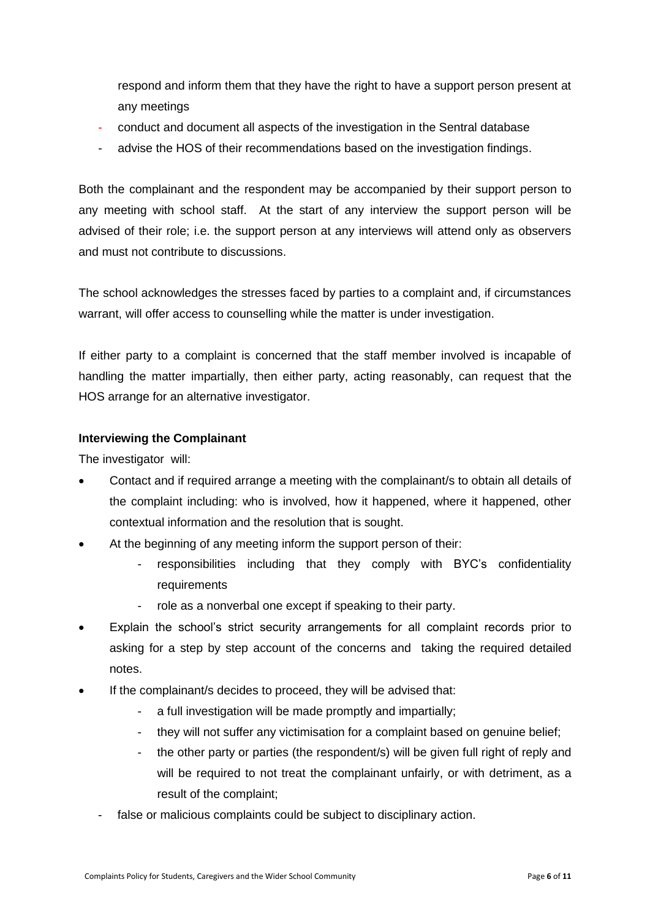respond and inform them that they have the right to have a support person present at any meetings

- conduct and document all aspects of the investigation in the Sentral database
- advise the HOS of their recommendations based on the investigation findings.

Both the complainant and the respondent may be accompanied by their support person to any meeting with school staff. At the start of any interview the support person will be advised of their role; i.e. the support person at any interviews will attend only as observers and must not contribute to discussions.

The school acknowledges the stresses faced by parties to a complaint and, if circumstances warrant, will offer access to counselling while the matter is under investigation.

If either party to a complaint is concerned that the staff member involved is incapable of handling the matter impartially, then either party, acting reasonably, can request that the HOS arrange for an alternative investigator.

### **Interviewing the Complainant**

The investigator will:

- Contact and if required arrange a meeting with the complainant/s to obtain all details of the complaint including: who is involved, how it happened, where it happened, other contextual information and the resolution that is sought.
- At the beginning of any meeting inform the support person of their:
	- responsibilities including that they comply with BYC's confidentiality **requirements**
	- role as a nonverbal one except if speaking to their party.
- Explain the school's strict security arrangements for all complaint records prior to asking for a step by step account of the concerns and taking the required detailed notes.
- If the complainant/s decides to proceed, they will be advised that:
	- a full investigation will be made promptly and impartially;
	- they will not suffer any victimisation for a complaint based on genuine belief;
	- the other party or parties (the respondent/s) will be given full right of reply and will be required to not treat the complainant unfairly, or with detriment, as a result of the complaint;
	- false or malicious complaints could be subject to disciplinary action.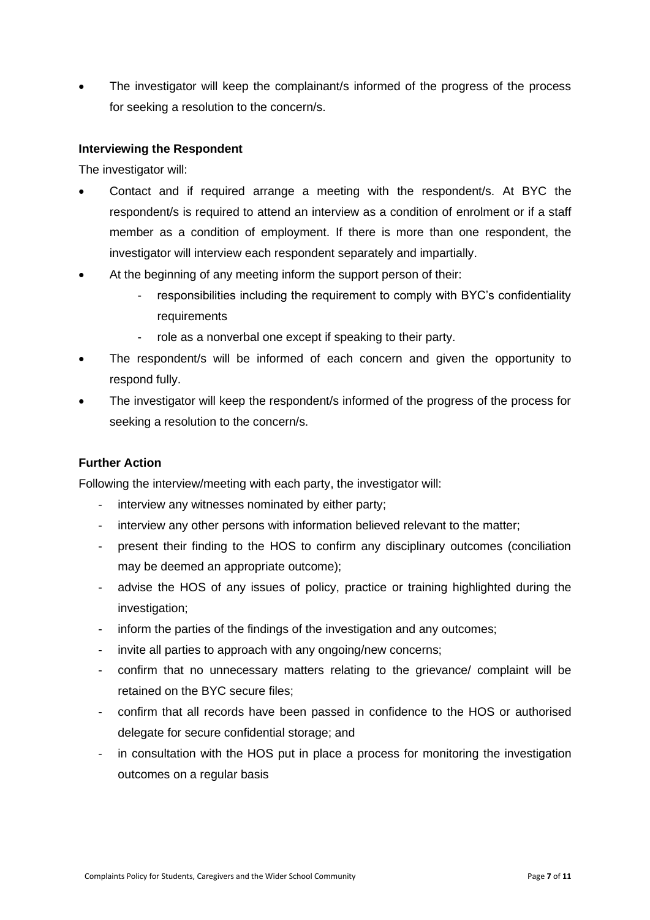The investigator will keep the complainant/s informed of the progress of the process for seeking a resolution to the concern/s.

### **Interviewing the Respondent**

The investigator will:

- Contact and if required arrange a meeting with the respondent/s. At BYC the respondent/s is required to attend an interview as a condition of enrolment or if a staff member as a condition of employment. If there is more than one respondent, the investigator will interview each respondent separately and impartially.
- At the beginning of any meeting inform the support person of their:
	- responsibilities including the requirement to comply with BYC's confidentiality requirements
	- role as a nonverbal one except if speaking to their party.
- The respondent/s will be informed of each concern and given the opportunity to respond fully.
- The investigator will keep the respondent/s informed of the progress of the process for seeking a resolution to the concern/s.

### **Further Action**

Following the interview/meeting with each party, the investigator will:

- interview any witnesses nominated by either party;
- interview any other persons with information believed relevant to the matter;
- present their finding to the HOS to confirm any disciplinary outcomes (conciliation may be deemed an appropriate outcome);
- advise the HOS of any issues of policy, practice or training highlighted during the investigation;
- inform the parties of the findings of the investigation and any outcomes;
- invite all parties to approach with any ongoing/new concerns;
- confirm that no unnecessary matters relating to the grievance/ complaint will be retained on the BYC secure files;
- confirm that all records have been passed in confidence to the HOS or authorised delegate for secure confidential storage; and
- in consultation with the HOS put in place a process for monitoring the investigation outcomes on a regular basis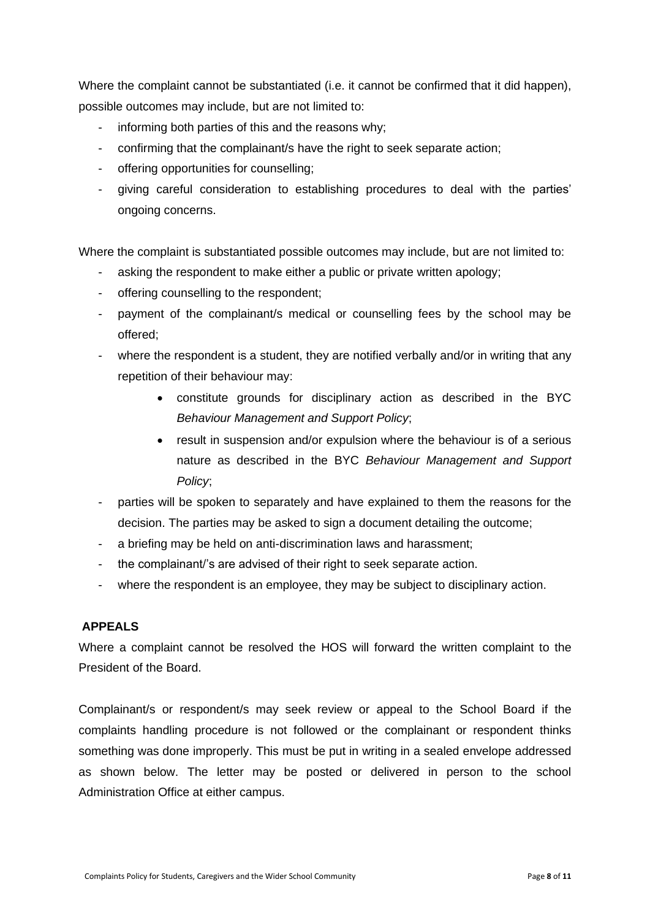Where the complaint cannot be substantiated (i.e. it cannot be confirmed that it did happen), possible outcomes may include, but are not limited to:

- informing both parties of this and the reasons why:
- confirming that the complainant/s have the right to seek separate action;
- offering opportunities for counselling;
- giving careful consideration to establishing procedures to deal with the parties' ongoing concerns.

Where the complaint is substantiated possible outcomes may include, but are not limited to:

- asking the respondent to make either a public or private written apology;
- offering counselling to the respondent;
- payment of the complainant/s medical or counselling fees by the school may be offered;
- where the respondent is a student, they are notified verbally and/or in writing that any repetition of their behaviour may:
	- constitute grounds for disciplinary action as described in the BYC *Behaviour Management and Support Policy*;
	- result in suspension and/or expulsion where the behaviour is of a serious nature as described in the BYC *Behaviour Management and Support Policy*;
- parties will be spoken to separately and have explained to them the reasons for the decision. The parties may be asked to sign a document detailing the outcome;
- a briefing may be held on anti-discrimination laws and harassment;
- the complainant/'s are advised of their right to seek separate action.
- where the respondent is an employee, they may be subject to disciplinary action.

### **APPEALS**

Where a complaint cannot be resolved the HOS will forward the written complaint to the President of the Board.

Complainant/s or respondent/s may seek review or appeal to the School Board if the complaints handling procedure is not followed or the complainant or respondent thinks something was done improperly. This must be put in writing in a sealed envelope addressed as shown below. The letter may be posted or delivered in person to the school Administration Office at either campus.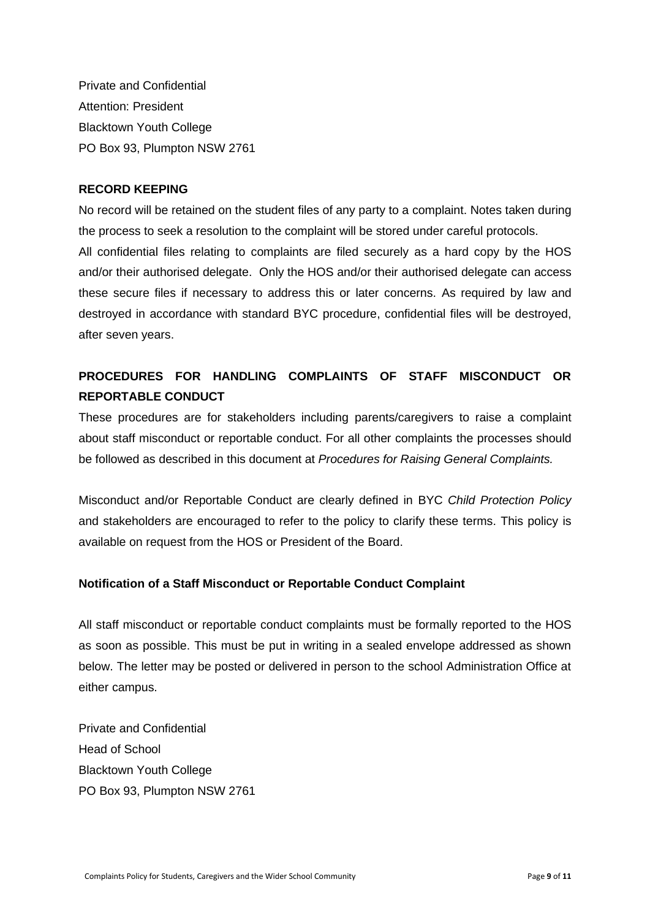Private and Confidential Attention: President Blacktown Youth College PO Box 93, Plumpton NSW 2761

#### **RECORD KEEPING**

No record will be retained on the student files of any party to a complaint. Notes taken during the process to seek a resolution to the complaint will be stored under careful protocols. All confidential files relating to complaints are filed securely as a hard copy by the HOS and/or their authorised delegate. Only the HOS and/or their authorised delegate can access these secure files if necessary to address this or later concerns. As required by law and destroyed in accordance with standard BYC procedure, confidential files will be destroyed, after seven years.

## **PROCEDURES FOR HANDLING COMPLAINTS OF STAFF MISCONDUCT OR REPORTABLE CONDUCT**

These procedures are for stakeholders including parents/caregivers to raise a complaint about staff misconduct or reportable conduct. For all other complaints the processes should be followed as described in this document at *Procedures for Raising General Complaints.*

Misconduct and/or Reportable Conduct are clearly defined in BYC *Child Protection Policy* and stakeholders are encouraged to refer to the policy to clarify these terms. This policy is available on request from the HOS or President of the Board.

### **Notification of a Staff Misconduct or Reportable Conduct Complaint**

All staff misconduct or reportable conduct complaints must be formally reported to the HOS as soon as possible. This must be put in writing in a sealed envelope addressed as shown below. The letter may be posted or delivered in person to the school Administration Office at either campus.

Private and Confidential Head of School Blacktown Youth College PO Box 93, Plumpton NSW 2761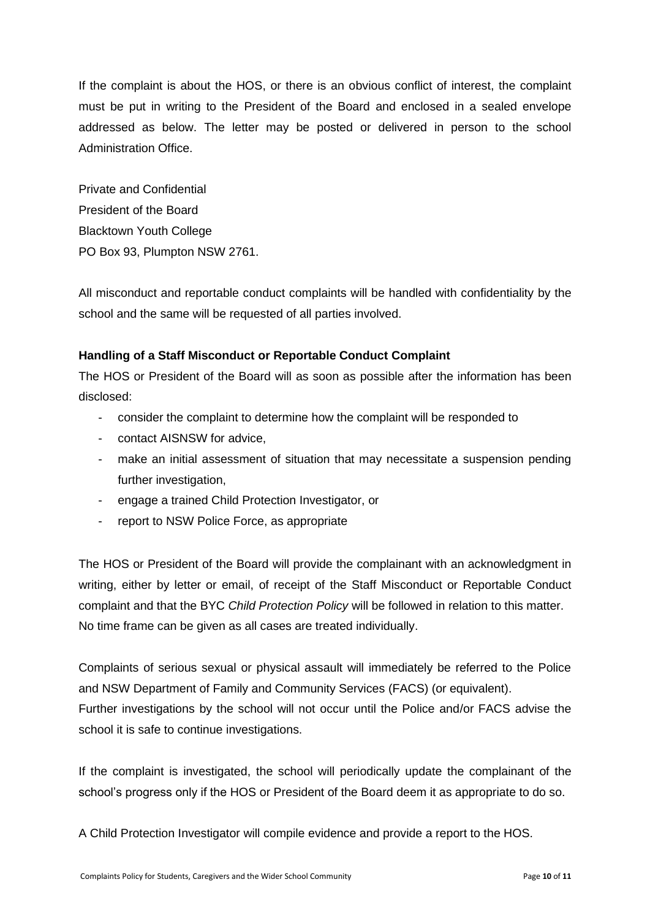If the complaint is about the HOS, or there is an obvious conflict of interest, the complaint must be put in writing to the President of the Board and enclosed in a sealed envelope addressed as below. The letter may be posted or delivered in person to the school Administration Office.

Private and Confidential President of the Board Blacktown Youth College PO Box 93, Plumpton NSW 2761.

All misconduct and reportable conduct complaints will be handled with confidentiality by the school and the same will be requested of all parties involved.

### **Handling of a Staff Misconduct or Reportable Conduct Complaint**

The HOS or President of the Board will as soon as possible after the information has been disclosed:

- consider the complaint to determine how the complaint will be responded to
- contact AISNSW for advice,
- make an initial assessment of situation that may necessitate a suspension pending further investigation,
- engage a trained Child Protection Investigator, or
- report to NSW Police Force, as appropriate

The HOS or President of the Board will provide the complainant with an acknowledgment in writing, either by letter or email, of receipt of the Staff Misconduct or Reportable Conduct complaint and that the BYC *Child Protection Policy* will be followed in relation to this matter. No time frame can be given as all cases are treated individually.

Complaints of serious sexual or physical assault will immediately be referred to the Police and NSW Department of Family and Community Services (FACS) (or equivalent). Further investigations by the school will not occur until the Police and/or FACS advise the school it is safe to continue investigations.

If the complaint is investigated, the school will periodically update the complainant of the school's progress only if the HOS or President of the Board deem it as appropriate to do so.

A Child Protection Investigator will compile evidence and provide a report to the HOS.